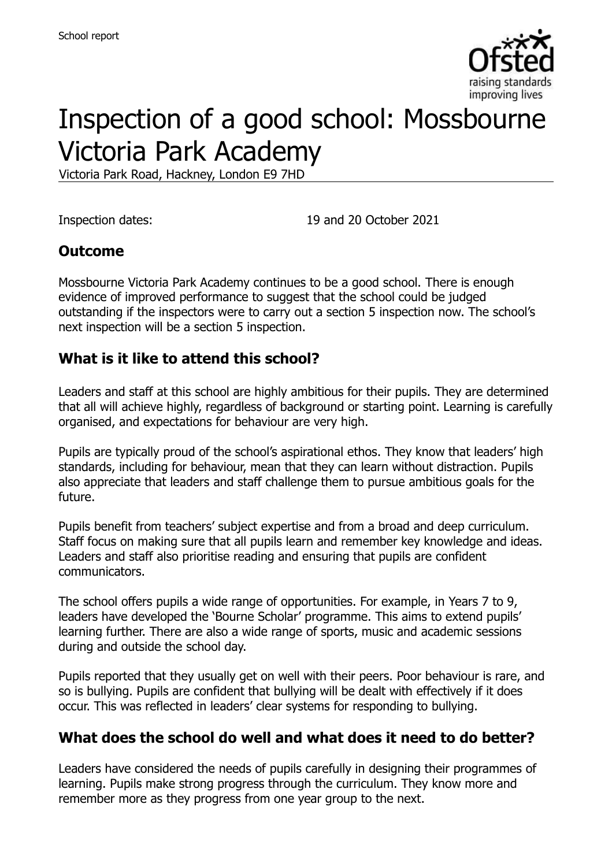

# Inspection of a good school: Mossbourne Victoria Park Academy

Victoria Park Road, Hackney, London E9 7HD

Inspection dates: 19 and 20 October 2021

### **Outcome**

Mossbourne Victoria Park Academy continues to be a good school. There is enough evidence of improved performance to suggest that the school could be judged outstanding if the inspectors were to carry out a section 5 inspection now. The school's next inspection will be a section 5 inspection.

# **What is it like to attend this school?**

Leaders and staff at this school are highly ambitious for their pupils. They are determined that all will achieve highly, regardless of background or starting point. Learning is carefully organised, and expectations for behaviour are very high.

Pupils are typically proud of the school's aspirational ethos. They know that leaders' high standards, including for behaviour, mean that they can learn without distraction. Pupils also appreciate that leaders and staff challenge them to pursue ambitious goals for the future.

Pupils benefit from teachers' subject expertise and from a broad and deep curriculum. Staff focus on making sure that all pupils learn and remember key knowledge and ideas. Leaders and staff also prioritise reading and ensuring that pupils are confident communicators.

The school offers pupils a wide range of opportunities. For example, in Years 7 to 9, leaders have developed the 'Bourne Scholar' programme. This aims to extend pupils' learning further. There are also a wide range of sports, music and academic sessions during and outside the school day.

Pupils reported that they usually get on well with their peers. Poor behaviour is rare, and so is bullying. Pupils are confident that bullying will be dealt with effectively if it does occur. This was reflected in leaders' clear systems for responding to bullying.

### **What does the school do well and what does it need to do better?**

Leaders have considered the needs of pupils carefully in designing their programmes of learning. Pupils make strong progress through the curriculum. They know more and remember more as they progress from one year group to the next.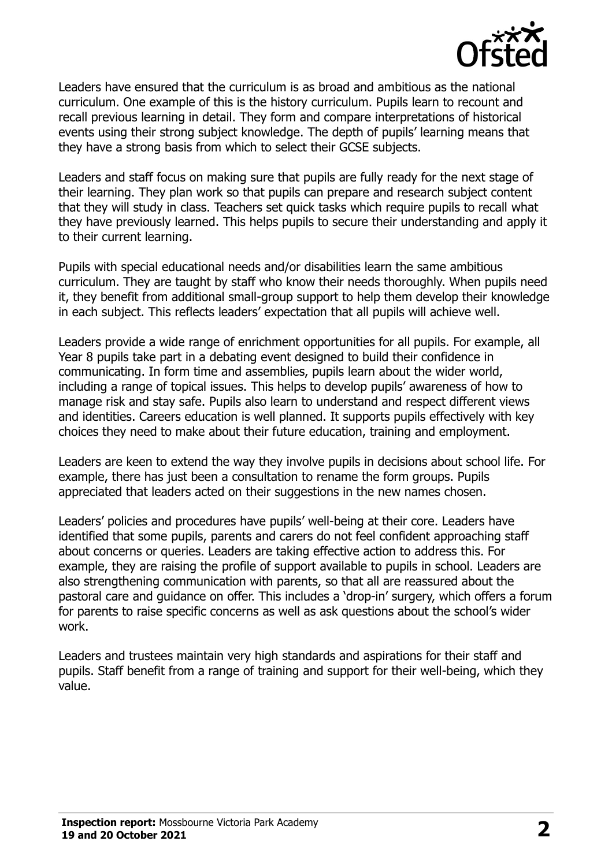

Leaders have ensured that the curriculum is as broad and ambitious as the national curriculum. One example of this is the history curriculum. Pupils learn to recount and recall previous learning in detail. They form and compare interpretations of historical events using their strong subject knowledge. The depth of pupils' learning means that they have a strong basis from which to select their GCSE subjects.

Leaders and staff focus on making sure that pupils are fully ready for the next stage of their learning. They plan work so that pupils can prepare and research subject content that they will study in class. Teachers set quick tasks which require pupils to recall what they have previously learned. This helps pupils to secure their understanding and apply it to their current learning.

Pupils with special educational needs and/or disabilities learn the same ambitious curriculum. They are taught by staff who know their needs thoroughly. When pupils need it, they benefit from additional small-group support to help them develop their knowledge in each subject. This reflects leaders' expectation that all pupils will achieve well.

Leaders provide a wide range of enrichment opportunities for all pupils. For example, all Year 8 pupils take part in a debating event designed to build their confidence in communicating. In form time and assemblies, pupils learn about the wider world, including a range of topical issues. This helps to develop pupils' awareness of how to manage risk and stay safe. Pupils also learn to understand and respect different views and identities. Careers education is well planned. It supports pupils effectively with key choices they need to make about their future education, training and employment.

Leaders are keen to extend the way they involve pupils in decisions about school life. For example, there has just been a consultation to rename the form groups. Pupils appreciated that leaders acted on their suggestions in the new names chosen.

Leaders' policies and procedures have pupils' well-being at their core. Leaders have identified that some pupils, parents and carers do not feel confident approaching staff about concerns or queries. Leaders are taking effective action to address this. For example, they are raising the profile of support available to pupils in school. Leaders are also strengthening communication with parents, so that all are reassured about the pastoral care and guidance on offer. This includes a 'drop-in' surgery, which offers a forum for parents to raise specific concerns as well as ask questions about the school's wider work.

Leaders and trustees maintain very high standards and aspirations for their staff and pupils. Staff benefit from a range of training and support for their well-being, which they value.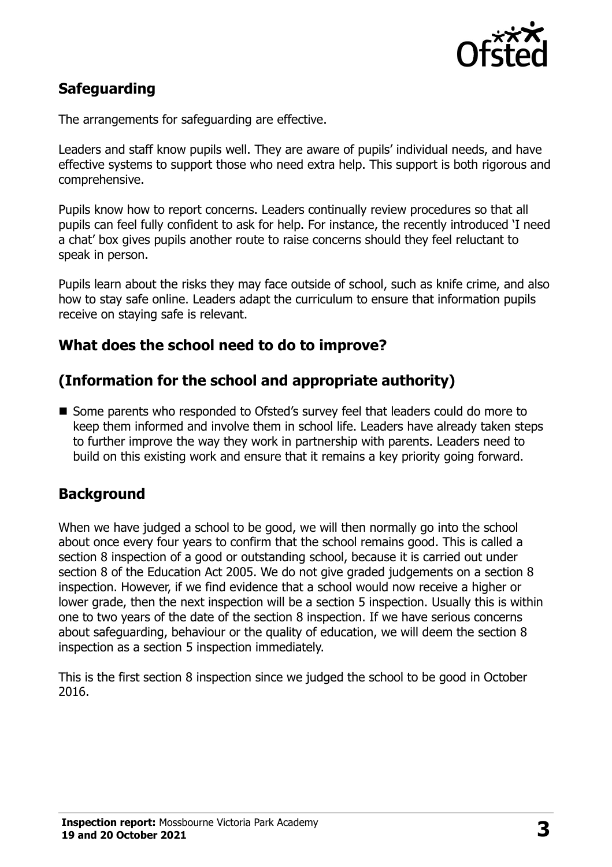

# **Safeguarding**

The arrangements for safeguarding are effective.

Leaders and staff know pupils well. They are aware of pupils' individual needs, and have effective systems to support those who need extra help. This support is both rigorous and comprehensive.

Pupils know how to report concerns. Leaders continually review procedures so that all pupils can feel fully confident to ask for help. For instance, the recently introduced 'I need a chat' box gives pupils another route to raise concerns should they feel reluctant to speak in person.

Pupils learn about the risks they may face outside of school, such as knife crime, and also how to stay safe online. Leaders adapt the curriculum to ensure that information pupils receive on staying safe is relevant.

### **What does the school need to do to improve?**

# **(Information for the school and appropriate authority)**

■ Some parents who responded to Ofsted's survey feel that leaders could do more to keep them informed and involve them in school life. Leaders have already taken steps to further improve the way they work in partnership with parents. Leaders need to build on this existing work and ensure that it remains a key priority going forward.

### **Background**

When we have judged a school to be good, we will then normally go into the school about once every four years to confirm that the school remains good. This is called a section 8 inspection of a good or outstanding school, because it is carried out under section 8 of the Education Act 2005. We do not give graded judgements on a section 8 inspection. However, if we find evidence that a school would now receive a higher or lower grade, then the next inspection will be a section 5 inspection. Usually this is within one to two years of the date of the section 8 inspection. If we have serious concerns about safeguarding, behaviour or the quality of education, we will deem the section 8 inspection as a section 5 inspection immediately.

This is the first section 8 inspection since we judged the school to be good in October 2016.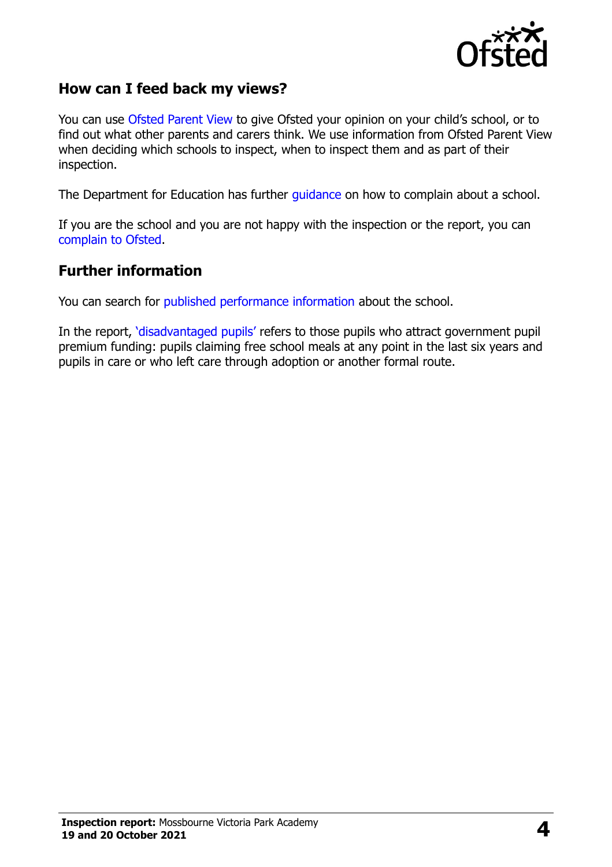

### **How can I feed back my views?**

You can use [Ofsted Parent View](https://parentview.ofsted.gov.uk/) to give Ofsted your opinion on your child's school, or to find out what other parents and carers think. We use information from Ofsted Parent View when deciding which schools to inspect, when to inspect them and as part of their inspection.

The Department for Education has further [guidance](http://www.gov.uk/complain-about-school) on how to complain about a school.

If you are the school and you are not happy with the inspection or the report, you can [complain to Ofsted.](https://www.gov.uk/complain-ofsted-report)

#### **Further information**

You can search for [published performance information](http://www.compare-school-performance.service.gov.uk/) about the school.

In the report, '[disadvantaged pupils](http://www.gov.uk/guidance/pupil-premium-information-for-schools-and-alternative-provision-settings)' refers to those pupils who attract government pupil premium funding: pupils claiming free school meals at any point in the last six years and pupils in care or who left care through adoption or another formal route.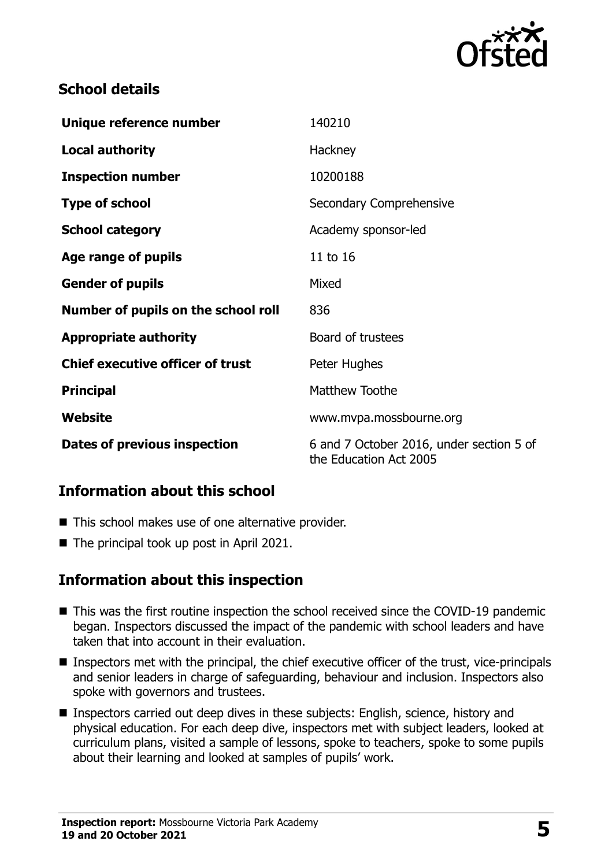

# **School details**

| Unique reference number                 | 140210                                                             |
|-----------------------------------------|--------------------------------------------------------------------|
| <b>Local authority</b>                  | Hackney                                                            |
| <b>Inspection number</b>                | 10200188                                                           |
| <b>Type of school</b>                   | Secondary Comprehensive                                            |
| <b>School category</b>                  | Academy sponsor-led                                                |
| Age range of pupils                     | 11 to 16                                                           |
| <b>Gender of pupils</b>                 | Mixed                                                              |
| Number of pupils on the school roll     | 836                                                                |
| <b>Appropriate authority</b>            | Board of trustees                                                  |
| <b>Chief executive officer of trust</b> | Peter Hughes                                                       |
| <b>Principal</b>                        | Matthew Toothe                                                     |
| Website                                 | www.mvpa.mossbourne.org                                            |
| Dates of previous inspection            | 6 and 7 October 2016, under section 5 of<br>the Education Act 2005 |

### **Information about this school**

- This school makes use of one alternative provider.
- The principal took up post in April 2021.

### **Information about this inspection**

- This was the first routine inspection the school received since the COVID-19 pandemic began. Inspectors discussed the impact of the pandemic with school leaders and have taken that into account in their evaluation.
- Inspectors met with the principal, the chief executive officer of the trust, vice-principals and senior leaders in charge of safeguarding, behaviour and inclusion. Inspectors also spoke with governors and trustees.
- Inspectors carried out deep dives in these subjects: English, science, history and physical education. For each deep dive, inspectors met with subject leaders, looked at curriculum plans, visited a sample of lessons, spoke to teachers, spoke to some pupils about their learning and looked at samples of pupils' work.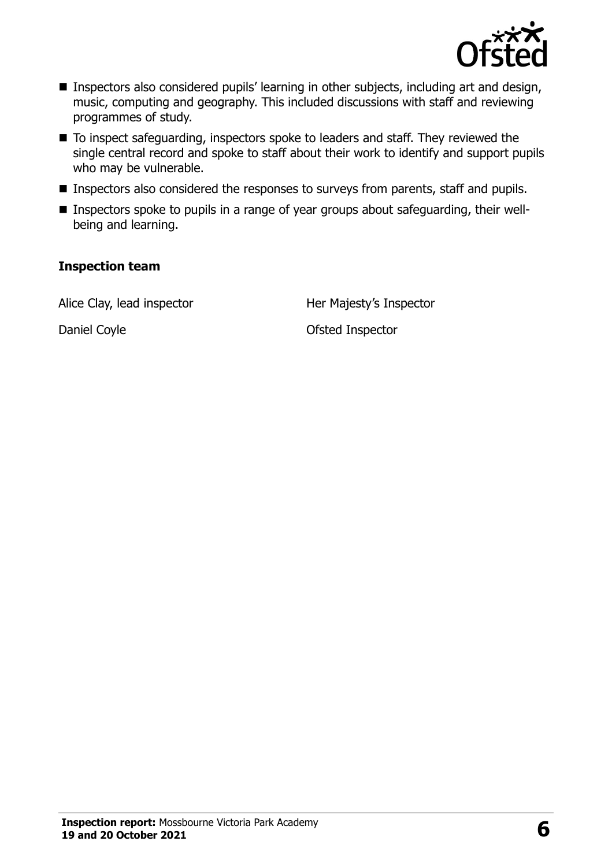

- Inspectors also considered pupils' learning in other subjects, including art and design, music, computing and geography. This included discussions with staff and reviewing programmes of study.
- To inspect safeguarding, inspectors spoke to leaders and staff. They reviewed the single central record and spoke to staff about their work to identify and support pupils who may be vulnerable.
- **Inspectors also considered the responses to surveys from parents, staff and pupils.**
- Inspectors spoke to pupils in a range of year groups about safeguarding, their wellbeing and learning.

#### **Inspection team**

Alice Clay, lead inspector **Her Majesty's Inspector** 

Daniel Coyle **Daniel Coyle Contract Contract Contract Contract Contract Contract Contract Contract Contract Contract Contract Contract Contract Contract Contract Contract Contract Contract Contract Contract Contract Contra**